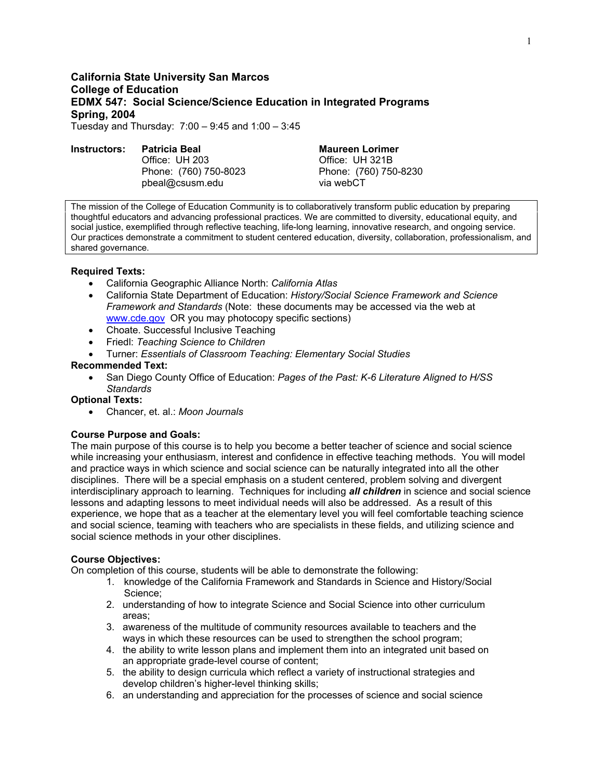# **California State University San Marcos College of Education EDMX 547: Social Science/Science Education in Integrated Programs Spring, 2004**  Tuesday and Thursday: 7:00 – 9:45 and 1:00 – 3:45

## **Instructors: Patricia Beal Maureen Lorimer Communist Communist Patricia Beal Manuform Maureen Lorimer**

**Office: UH 203 Office: UH 321B** Phone: (760) 750-8023 Phone: (760) 750-8230 pbeal@csusm.edu via webCT

The mission of the College of Education Community is to collaboratively transform public education by preparing thoughtful educators and advancing professional practices. We are committed to diversity, educational equity, and social justice, exemplified through reflective teaching, life-long learning, innovative research, and ongoing service. Our practices demonstrate a commitment to student centered education, diversity, collaboration, professionalism, and shared governance.

## **Required Texts:**

- California Geographic Alliance North: *California Atlas*
- California State Department of Education: *History/Social Science Framework and Science Framework and Standards* (Note: these documents may be accessed via the web at www.cde.gov OR you may photocopy specific sections)
- Choate. Successful Inclusive Teaching
- Friedl: *Teaching Science to Children*
- Turner: *Essentials of Classroom Teaching: Elementary Social Studies*

## **Recommended Text:**

• San Diego County Office of Education: *Pages of the Past: K-6 Literature Aligned to H/SS Standards* 

## **Optional Texts:**

• Chancer, et. al.: *Moon Journals*

## **Course Purpose and Goals:**

The main purpose of this course is to help you become a better teacher of science and social science while increasing your enthusiasm, interest and confidence in effective teaching methods. You will model and practice ways in which science and social science can be naturally integrated into all the other disciplines. There will be a special emphasis on a student centered, problem solving and divergent interdisciplinary approach to learning. Techniques for including *all children* in science and social science lessons and adapting lessons to meet individual needs will also be addressed. As a result of this experience, we hope that as a teacher at the elementary level you will feel comfortable teaching science and social science, teaming with teachers who are specialists in these fields, and utilizing science and social science methods in your other disciplines.

#### **Course Objectives:**

On completion of this course, students will be able to demonstrate the following:

- 1. knowledge of the California Framework and Standards in Science and History/Social Science;
- 2. understanding of how to integrate Science and Social Science into other curriculum areas;
- 3. awareness of the multitude of community resources available to teachers and the ways in which these resources can be used to strengthen the school program;
- 4. the ability to write lesson plans and implement them into an integrated unit based on an appropriate grade-level course of content;
- 5. the ability to design curricula which reflect a variety of instructional strategies and develop children's higher-level thinking skills;
- 6. an understanding and appreciation for the processes of science and social science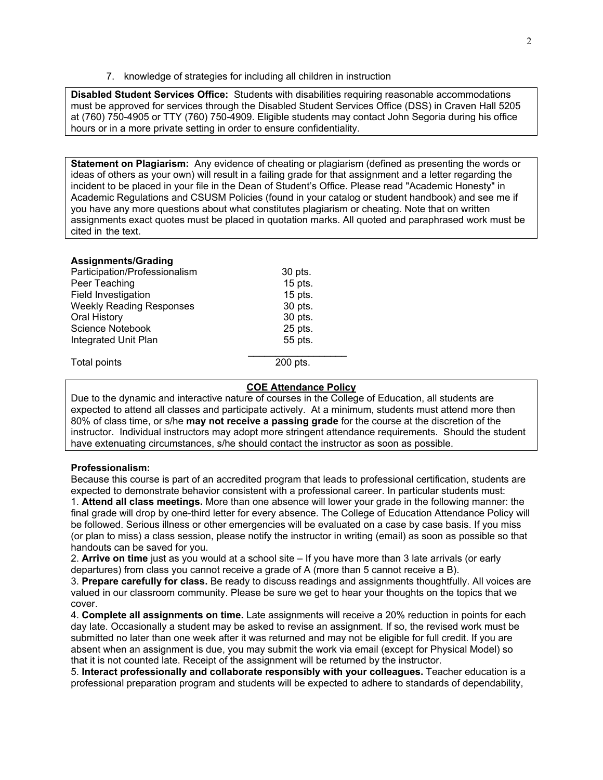7. knowledge of strategies for including all children in instruction

**Disabled Student Services Office:** Students with disabilities requiring reasonable accommodations must be approved for services through the Disabled Student Services Office (DSS) in Craven Hall 5205 at (760) 750-4905 or TTY (760) 750-4909. Eligible students may contact John Segoria during his office hours or in a more private setting in order to ensure confidentiality.

**Statement on Plagiarism:** Any evidence of cheating or plagiarism (defined as presenting the words or ideas of others as your own) will result in a failing grade for that assignment and a letter regarding the incident to be placed in your file in the Dean of Student's Office. Please read "Academic Honesty" in Academic Regulations and CSUSM Policies (found in your catalog or student handbook) and see me if you have any more questions about what constitutes plagiarism or cheating. Note that on written assignments exact quotes must be placed in quotation marks. All quoted and paraphrased work must be cited in the text.

### **Assignments/Grading**

| Participation/Professionalism   | 30 pts.   |
|---------------------------------|-----------|
| Peer Teaching                   | $15$ pts. |
| Field Investigation             | $15$ pts. |
| <b>Weekly Reading Responses</b> | 30 pts.   |
| Oral History                    | 30 pts.   |
| <b>Science Notebook</b>         | 25 pts.   |
| Integrated Unit Plan            | 55 pts.   |
| Total points                    | 200 pts.  |

## **COE Attendance Policy**

Due to the dynamic and interactive nature of courses in the College of Education, all students are expected to attend all classes and participate actively. At a minimum, students must attend more then 80% of class time, or s/he **may not receive a passing grade** for the course at the discretion of the instructor. Individual instructors may adopt more stringent attendance requirements. Should the student have extenuating circumstances, s/he should contact the instructor as soon as possible.

#### **Professionalism:**

Because this course is part of an accredited program that leads to professional certification, students are expected to demonstrate behavior consistent with a professional career. In particular students must: 1. **Attend all class meetings.** More than one absence will lower your grade in the following manner: the final grade will drop by one-third letter for every absence. The College of Education Attendance Policy will be followed. Serious illness or other emergencies will be evaluated on a case by case basis. If you miss (or plan to miss) a class session, please notify the instructor in writing (email) as soon as possible so that handouts can be saved for you.

2. **Arrive on time** just as you would at a school site – If you have more than 3 late arrivals (or early departures) from class you cannot receive a grade of A (more than 5 cannot receive a B).

3. **Prepare carefully for class.** Be ready to discuss readings and assignments thoughtfully. All voices are valued in our classroom community. Please be sure we get to hear your thoughts on the topics that we cover.

4. **Complete all assignments on time.** Late assignments will receive a 20% reduction in points for each day late. Occasionally a student may be asked to revise an assignment. If so, the revised work must be submitted no later than one week after it was returned and may not be eligible for full credit. If you are absent when an assignment is due, you may submit the work via email (except for Physical Model) so that it is not counted late. Receipt of the assignment will be returned by the instructor.

5. **Interact professionally and collaborate responsibly with your colleagues.** Teacher education is a professional preparation program and students will be expected to adhere to standards of dependability,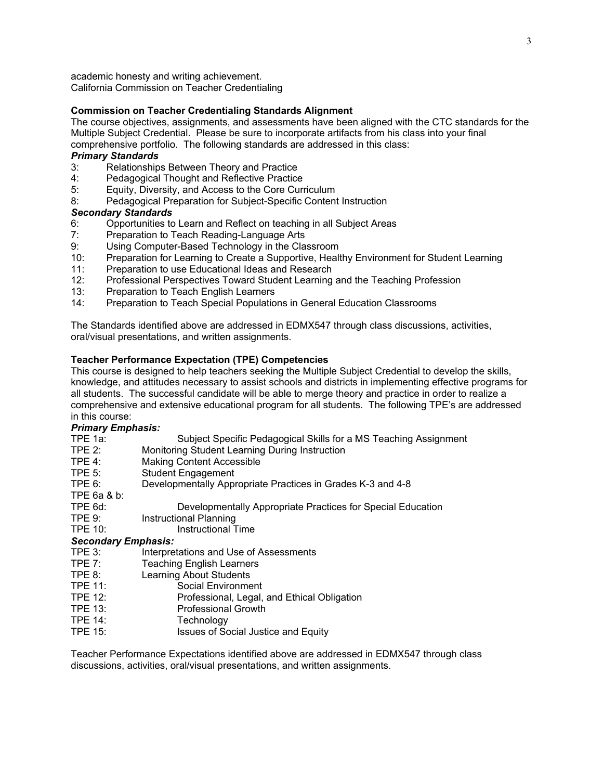academic honesty and writing achievement. California Commission on Teacher Credentialing

# **Commission on Teacher Credentialing Standards Alignment**

The course objectives, assignments, and assessments have been aligned with the CTC standards for the Multiple Subject Credential. Please be sure to incorporate artifacts from his class into your final comprehensive portfolio. The following standards are addressed in this class:

# *Primary Standards*

- 3: Relationships Between Theory and Practice
- 4: Pedagogical Thought and Reflective Practice
- 5: Equity, Diversity, and Access to the Core Curriculum
- 8: Pedagogical Preparation for Subject-Specific Content Instruction

# *Secondary Standards*

- 6: Opportunities to Learn and Reflect on teaching in all Subject Areas
- 7: Preparation to Teach Reading-Language Arts
- 9: Using Computer-Based Technology in the Classroom
- 10: Preparation for Learning to Create a Supportive, Healthy Environment for Student Learning
- 11: Preparation to use Educational Ideas and Research
- 12: Professional Perspectives Toward Student Learning and the Teaching Profession
- 13: Preparation to Teach English Learners<br>14: Preparation to Teach Special Populatio
- Preparation to Teach Special Populations in General Education Classrooms

The Standards identified above are addressed in EDMX547 through class discussions, activities, oral/visual presentations, and written assignments.

# **Teacher Performance Expectation (TPE) Competencies**

This course is designed to help teachers seeking the Multiple Subject Credential to develop the skills, knowledge, and attitudes necessary to assist schools and districts in implementing effective programs for all students. The successful candidate will be able to merge theory and practice in order to realize a comprehensive and extensive educational program for all students. The following TPE's are addressed in this course:

## *Primary Emphasis:*

- TPE 1a: Subject Specific Pedagogical Skills for a MS Teaching Assignment
- TPE 2: Monitoring Student Learning During Instruction
- TPE 4: Making Content Accessible
- TPE 5: Student Engagement
- TPE 6: Developmentally Appropriate Practices in Grades K-3 and 4-8

TPE 6a & b:

- TPE 6d: Developmentally Appropriate Practices for Special Education
- TPE 9: Instructional Planning
- TPE 10: Instructional Time

# *Secondary Emphasis:*

- TPE 3: Interpretations and Use of Assessments
- TPE 7: Teaching English Learners
- TPE 8: Learning About Students
- TPE 11: Social Environment
- TPE 12: Professional, Legal, and Ethical Obligation
- TPE 13: Professional Growth
- TPE 14: Technology
- TPE 15: Issues of Social Justice and Equity

Teacher Performance Expectations identified above are addressed in EDMX547 through class discussions, activities, oral/visual presentations, and written assignments.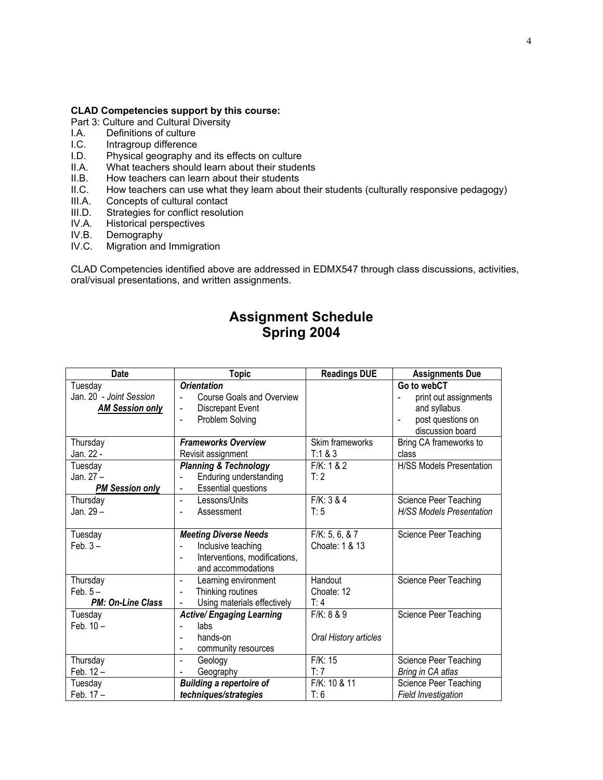# **CLAD Competencies support by this course:**

- Part 3: Culture and Cultural Diversity
- I.A. Definitions of culture
- I.C. Intragroup difference
- I.D. Physical geography and its effects on culture
- II.A. What teachers should learn about their students<br>II.B. How teachers can learn about their students
- How teachers can learn about their students
- II.C. How teachers can use what they learn about their students (culturally responsive pedagogy)<br>III.A. Concepts of cultural contact
- Concepts of cultural contact
- III.D. Strategies for conflict resolution
- IV.A. Historical perspectives
- IV.B. Demography<br>IV.C. Migration and
- Migration and Immigration

CLAD Competencies identified above are addressed in EDMX547 through class discussions, activities, oral/visual presentations, and written assignments.

# **Assignment Schedule Spring 2004**

| <b>Date</b>              | <b>Topic</b>                                    | <b>Readings DUE</b>   | <b>Assignments Due</b>          |
|--------------------------|-------------------------------------------------|-----------------------|---------------------------------|
| Tuesday                  | <b>Orientation</b>                              |                       | Go to webCT                     |
| Jan. 20 - Joint Session  | <b>Course Goals and Overview</b>                |                       | print out assignments           |
| <b>AM Session only</b>   | <b>Discrepant Event</b><br>$\blacksquare$       |                       | and syllabus                    |
|                          | Problem Solving                                 |                       | post questions on               |
|                          |                                                 |                       | discussion board                |
| Thursday                 | <b>Frameworks Overview</b>                      | Skim frameworks       | Bring CA frameworks to          |
| Jan. 22 -                | Revisit assignment                              | T:1 & 8 & 3           | class                           |
| Tuesday                  | <b>Planning &amp; Technology</b>                | F/K: 1 & 2            | <b>H/SS Models Presentation</b> |
| Jan. 27 -                | Enduring understanding<br>L,                    | T:2                   |                                 |
| <b>PM Session only</b>   | <b>Essential questions</b><br>$\blacksquare$    |                       |                                 |
| Thursday                 | Lessons/Units                                   | F/K: 3 & 4            | Science Peer Teaching           |
| Jan. 29 –                | Assessment<br>$\blacksquare$                    | T:5                   | H/SS Models Presentation        |
|                          |                                                 |                       |                                 |
| Tuesday                  | <b>Meeting Diverse Needs</b>                    | F/K: 5, 6, 8, 7       | Science Peer Teaching           |
| Feb. $3-$                | Inclusive teaching                              | Choate: 1 & 13        |                                 |
|                          | Interventions, modifications,<br>$\overline{a}$ |                       |                                 |
|                          | and accommodations                              |                       |                                 |
| Thursday                 | Learning environment<br>$\blacksquare$          | Handout               | Science Peer Teaching           |
| Feb. $5-$                | Thinking routines<br>$\blacksquare$             | Choate: 12            |                                 |
| <b>PM: On-Line Class</b> | Using materials effectively                     | T: 4                  |                                 |
| Tuesday                  | <b>Active/ Engaging Learning</b>                | F/K: 8 & 9            | Science Peer Teaching           |
| Feb. $10 -$              | labs                                            |                       |                                 |
|                          | hands-on<br>$\blacksquare$                      | Oral History articles |                                 |
|                          | community resources<br>$\overline{\phantom{a}}$ |                       |                                 |
| Thursday                 | Geology<br>$\blacksquare$                       | F/K: 15               | Science Peer Teaching           |
| Feb. $12 -$              | Geography<br>$\overline{\phantom{a}}$           | T:7                   | Bring in CA atlas               |
| Tuesday                  | <b>Building a repertoire of</b>                 | F/K: 10 & 11          | Science Peer Teaching           |
| Feb. 17 -                | techniques/strategies                           | T: 6                  | Field Investigation             |